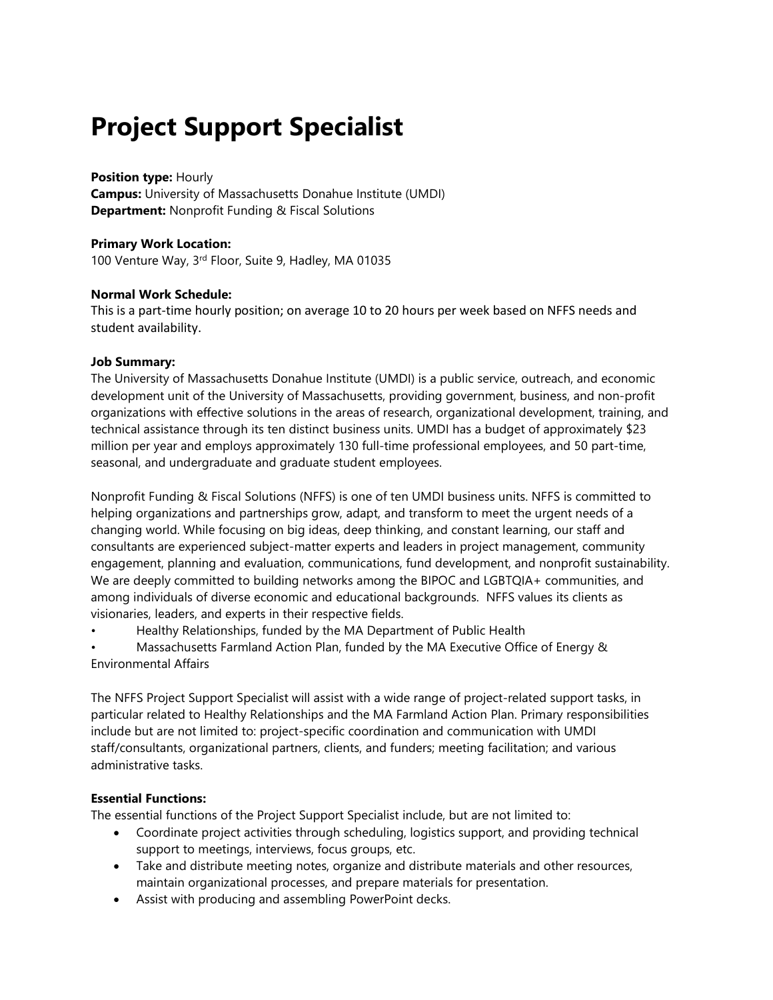# **Project Support Specialist**

#### **Position type:** Hourly

**Campus:** University of Massachusetts Donahue Institute (UMDI) **Department:** Nonprofit Funding & Fiscal Solutions

#### **Primary Work Location:**

100 Venture Way, 3rd Floor, Suite 9, Hadley, MA 01035

#### **Normal Work Schedule:**

This is a part-time hourly position; on average 10 to 20 hours per week based on NFFS needs and student availability.

#### **Job Summary:**

The University of Massachusetts Donahue Institute (UMDI) is a public service, outreach, and economic development unit of the University of Massachusetts, providing government, business, and non-profit organizations with effective solutions in the areas of research, organizational development, training, and technical assistance through its ten distinct business units. UMDI has a budget of approximately \$23 million per year and employs approximately 130 full-time professional employees, and 50 part-time, seasonal, and undergraduate and graduate student employees.

Nonprofit Funding & Fiscal Solutions (NFFS) is one of ten UMDI business units. NFFS is committed to helping organizations and partnerships grow, adapt, and transform to meet the urgent needs of a changing world. While focusing on big ideas, deep thinking, and constant learning, our staff and consultants are experienced subject-matter experts and leaders in project management, community engagement, planning and evaluation, communications, fund development, and nonprofit sustainability. We are deeply committed to building networks among the BIPOC and LGBTQIA+ communities, and among individuals of diverse economic and educational backgrounds. NFFS values its clients as visionaries, leaders, and experts in their respective fields.

• Healthy Relationships, funded by the MA Department of Public Health

• Massachusetts Farmland Action Plan, funded by the MA Executive Office of Energy & Environmental Affairs

The NFFS Project Support Specialist will assist with a wide range of project-related support tasks, in particular related to Healthy Relationships and the MA Farmland Action Plan. Primary responsibilities include but are not limited to: project-specific coordination and communication with UMDI staff/consultants, organizational partners, clients, and funders; meeting facilitation; and various administrative tasks.

## **Essential Functions:**

The essential functions of the Project Support Specialist include, but are not limited to:

- Coordinate project activities through scheduling, logistics support, and providing technical support to meetings, interviews, focus groups, etc.
- Take and distribute meeting notes, organize and distribute materials and other resources, maintain organizational processes, and prepare materials for presentation.
- Assist with producing and assembling PowerPoint decks.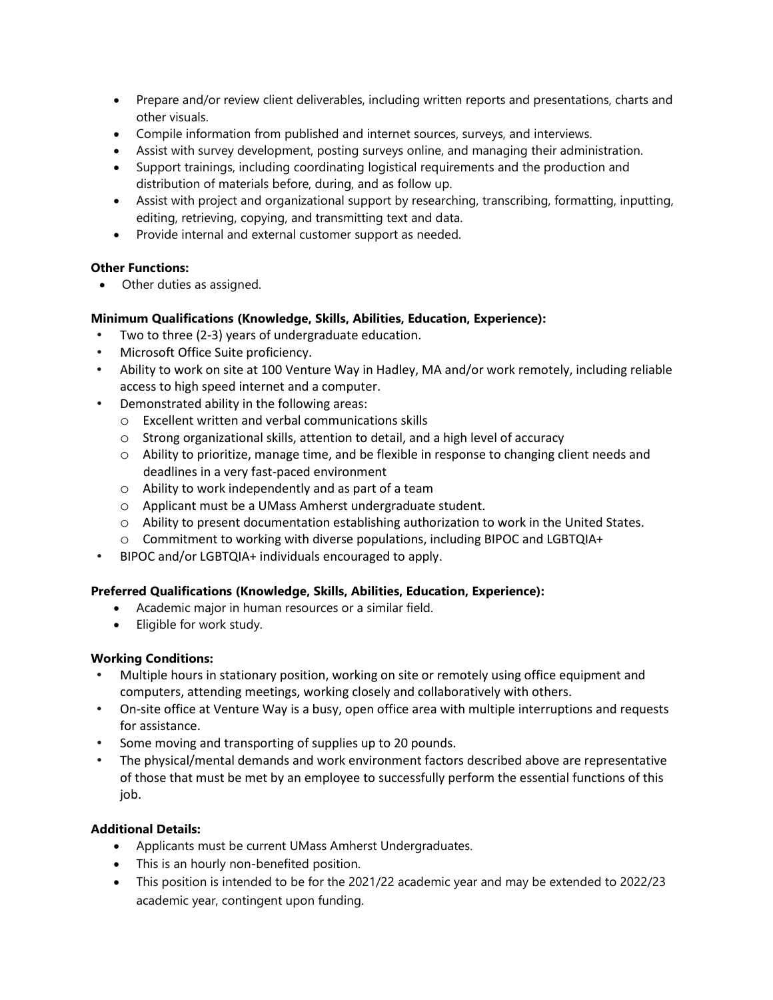- Prepare and/or review client deliverables, including written reports and presentations, charts and other visuals.
- Compile information from published and internet sources, surveys, and interviews.
- Assist with survey development, posting surveys online, and managing their administration.
- Support trainings, including coordinating logistical requirements and the production and distribution of materials before, during, and as follow up.
- Assist with project and organizational support by researching, transcribing, formatting, inputting, editing, retrieving, copying, and transmitting text and data.
- Provide internal and external customer support as needed.

#### **Other Functions:**

• Other duties as assigned.

### **Minimum Qualifications (Knowledge, Skills, Abilities, Education, Experience):**

- Two to three (2-3) years of undergraduate education.
- Microsoft Office Suite proficiency.
- Ability to work on site at 100 Venture Way in Hadley, MA and/or work remotely, including reliable access to high speed internet and a computer.
- Demonstrated ability in the following areas:
	- o Excellent written and verbal communications skills
	- o Strong organizational skills, attention to detail, and a high level of accuracy
	- o Ability to prioritize, manage time, and be flexible in response to changing client needs and deadlines in a very fast-paced environment
	- o Ability to work independently and as part of a team
	- o Applicant must be a UMass Amherst undergraduate student.
	- $\circ$  Ability to present documentation establishing authorization to work in the United States.
	- o Commitment to working with diverse populations, including BIPOC and LGBTQIA+
- BIPOC and/or LGBTQIA+ individuals encouraged to apply.

#### **Preferred Qualifications (Knowledge, Skills, Abilities, Education, Experience):**

- Academic major in human resources or a similar field.
- Eligible for work study.

#### **Working Conditions:**

- Multiple hours in stationary position, working on site or remotely using office equipment and computers, attending meetings, working closely and collaboratively with others.
- On-site office at Venture Way is a busy, open office area with multiple interruptions and requests for assistance.
- Some moving and transporting of supplies up to 20 pounds.
- The physical/mental demands and work environment factors described above are representative of those that must be met by an employee to successfully perform the essential functions of this job.

#### **Additional Details:**

- Applicants must be current UMass Amherst Undergraduates.
- This is an hourly non-benefited position.
- This position is intended to be for the 2021/22 academic year and may be extended to 2022/23 academic year, contingent upon funding.